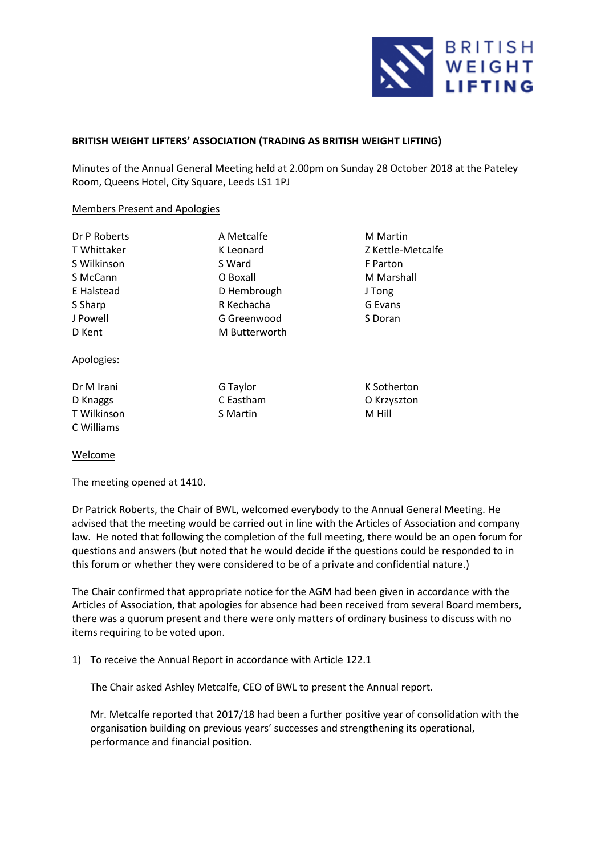

# **BRITISH WEIGHT LIFTERS' ASSOCIATION (TRADING AS BRITISH WEIGHT LIFTING)**

Minutes of the Annual General Meeting held at 2.00pm on Sunday 28 October 2018 at the Pateley Room, Queens Hotel, City Square, Leeds LS1 1PJ

### Members Present and Apologies

| Dr P Roberts | A Metcalfe      | <b>M</b> Martin   |
|--------------|-----------------|-------------------|
| T Whittaker  | K Leonard       | Z Kettle-Metcalfe |
| S Wilkinson  | S Ward          | F Parton          |
| S McCann     | O Boxall        | M Marshall        |
| E Halstead   | D Hembrough     | J Tong            |
| S Sharp      | R Kechacha      | G Evans           |
| J Powell     | G Greenwood     | S Doran           |
| D Kent       | M Butterworth   |                   |
| Apologies:   |                 |                   |
| Dr M Irani   | G Taylor        | K Sotherton       |
| D Knaggs     | C Eastham       | O Krzyszton       |
| T Wilkinson  | <b>S</b> Martin | M Hill            |

# Welcome

C Williams

The meeting opened at 1410.

Dr Patrick Roberts, the Chair of BWL, welcomed everybody to the Annual General Meeting. He advised that the meeting would be carried out in line with the Articles of Association and company law. He noted that following the completion of the full meeting, there would be an open forum for questions and answers (but noted that he would decide if the questions could be responded to in this forum or whether they were considered to be of a private and confidential nature.)

The Chair confirmed that appropriate notice for the AGM had been given in accordance with the Articles of Association, that apologies for absence had been received from several Board members, there was a quorum present and there were only matters of ordinary business to discuss with no items requiring to be voted upon.

# 1) To receive the Annual Report in accordance with Article 122.1

The Chair asked Ashley Metcalfe, CEO of BWL to present the Annual report.

Mr. Metcalfe reported that 2017/18 had been a further positive year of consolidation with the organisation building on previous years' successes and strengthening its operational, performance and financial position.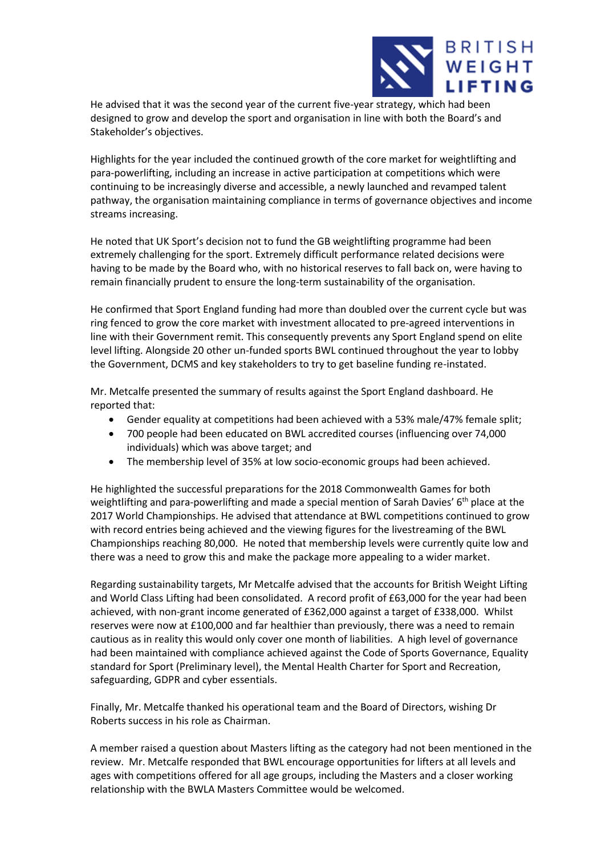

He advised that it was the second year of the current five-year strategy, which had been designed to grow and develop the sport and organisation in line with both the Board's and Stakeholder's objectives.

Highlights for the year included the continued growth of the core market for weightlifting and para-powerlifting, including an increase in active participation at competitions which were continuing to be increasingly diverse and accessible, a newly launched and revamped talent pathway, the organisation maintaining compliance in terms of governance objectives and income streams increasing.

He noted that UK Sport's decision not to fund the GB weightlifting programme had been extremely challenging for the sport. Extremely difficult performance related decisions were having to be made by the Board who, with no historical reserves to fall back on, were having to remain financially prudent to ensure the long-term sustainability of the organisation.

He confirmed that Sport England funding had more than doubled over the current cycle but was ring fenced to grow the core market with investment allocated to pre-agreed interventions in line with their Government remit. This consequently prevents any Sport England spend on elite level lifting. Alongside 20 other un-funded sports BWL continued throughout the year to lobby the Government, DCMS and key stakeholders to try to get baseline funding re-instated.

Mr. Metcalfe presented the summary of results against the Sport England dashboard. He reported that:

- Gender equality at competitions had been achieved with a 53% male/47% female split;
- 700 people had been educated on BWL accredited courses (influencing over 74,000 individuals) which was above target; and
- The membership level of 35% at low socio-economic groups had been achieved.

He highlighted the successful preparations for the 2018 Commonwealth Games for both weightlifting and para-powerlifting and made a special mention of Sarah Davies'  $6<sup>th</sup>$  place at the 2017 World Championships. He advised that attendance at BWL competitions continued to grow with record entries being achieved and the viewing figures for the livestreaming of the BWL Championships reaching 80,000. He noted that membership levels were currently quite low and there was a need to grow this and make the package more appealing to a wider market.

Regarding sustainability targets, Mr Metcalfe advised that the accounts for British Weight Lifting and World Class Lifting had been consolidated. A record profit of £63,000 for the year had been achieved, with non-grant income generated of £362,000 against a target of £338,000. Whilst reserves were now at £100,000 and far healthier than previously, there was a need to remain cautious as in reality this would only cover one month of liabilities. A high level of governance had been maintained with compliance achieved against the Code of Sports Governance, Equality standard for Sport (Preliminary level), the Mental Health Charter for Sport and Recreation, safeguarding, GDPR and cyber essentials.

Finally, Mr. Metcalfe thanked his operational team and the Board of Directors, wishing Dr Roberts success in his role as Chairman.

A member raised a question about Masters lifting as the category had not been mentioned in the review. Mr. Metcalfe responded that BWL encourage opportunities for lifters at all levels and ages with competitions offered for all age groups, including the Masters and a closer working relationship with the BWLA Masters Committee would be welcomed.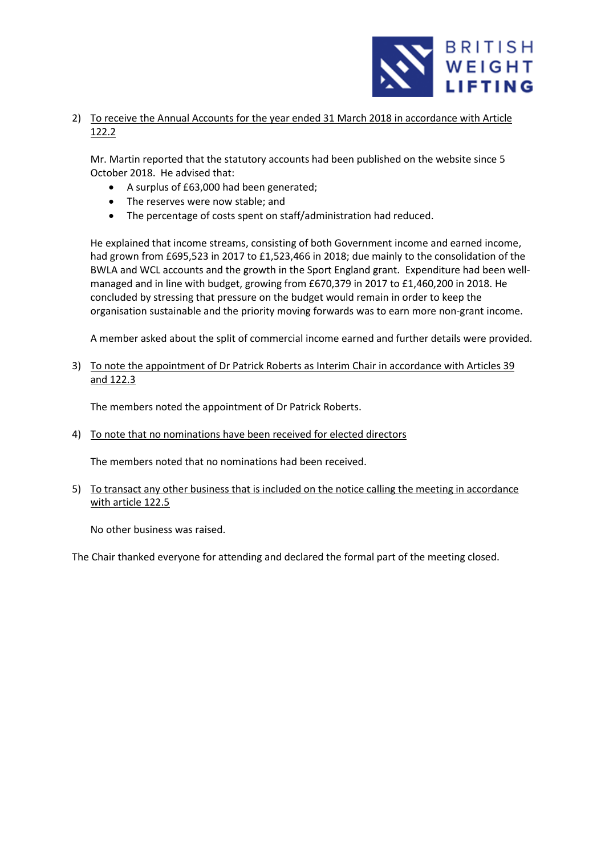

2) To receive the Annual Accounts for the year ended 31 March 2018 in accordance with Article 122.2

Mr. Martin reported that the statutory accounts had been published on the website since 5 October 2018. He advised that:

- A surplus of £63,000 had been generated;
- The reserves were now stable; and
- The percentage of costs spent on staff/administration had reduced.

He explained that income streams, consisting of both Government income and earned income, had grown from £695,523 in 2017 to £1,523,466 in 2018; due mainly to the consolidation of the BWLA and WCL accounts and the growth in the Sport England grant. Expenditure had been wellmanaged and in line with budget, growing from £670,379 in 2017 to £1,460,200 in 2018. He concluded by stressing that pressure on the budget would remain in order to keep the organisation sustainable and the priority moving forwards was to earn more non-grant income.

A member asked about the split of commercial income earned and further details were provided.

3) To note the appointment of Dr Patrick Roberts as Interim Chair in accordance with Articles 39 and 122.3

The members noted the appointment of Dr Patrick Roberts.

4) To note that no nominations have been received for elected directors

The members noted that no nominations had been received.

5) To transact any other business that is included on the notice calling the meeting in accordance with article 122.5

No other business was raised.

The Chair thanked everyone for attending and declared the formal part of the meeting closed.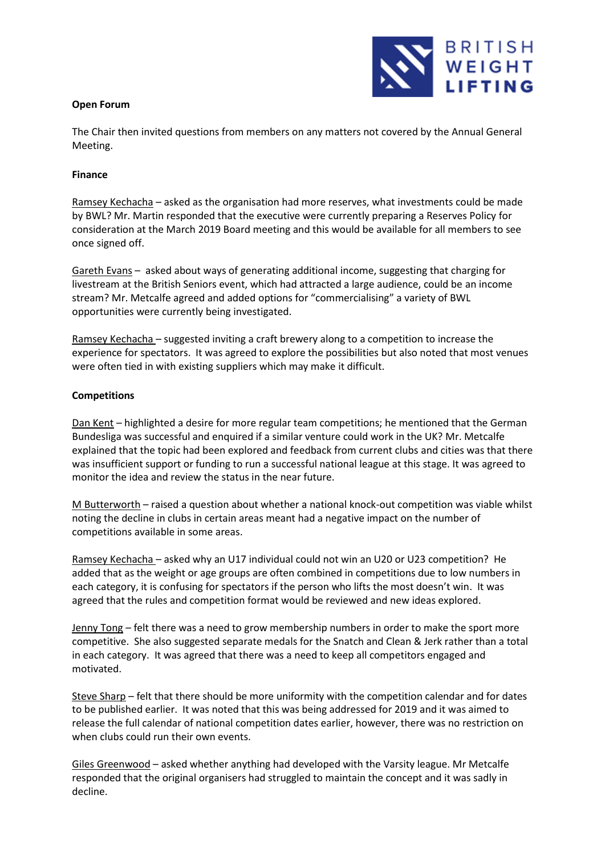# **Open Forum**



The Chair then invited questions from members on any matters not covered by the Annual General Meeting.

# **Finance**

Ramsey Kechacha – asked as the organisation had more reserves, what investments could be made by BWL? Mr. Martin responded that the executive were currently preparing a Reserves Policy for consideration at the March 2019 Board meeting and this would be available for all members to see once signed off.

Gareth Evans – asked about ways of generating additional income, suggesting that charging for livestream at the British Seniors event, which had attracted a large audience, could be an income stream? Mr. Metcalfe agreed and added options for "commercialising" a variety of BWL opportunities were currently being investigated.

Ramsey Kechacha – suggested inviting a craft brewery along to a competition to increase the experience for spectators. It was agreed to explore the possibilities but also noted that most venues were often tied in with existing suppliers which may make it difficult.

# **Competitions**

Dan Kent – highlighted a desire for more regular team competitions; he mentioned that the German Bundesliga was successful and enquired if a similar venture could work in the UK? Mr. Metcalfe explained that the topic had been explored and feedback from current clubs and cities was that there was insufficient support or funding to run a successful national league at this stage. It was agreed to monitor the idea and review the status in the near future.

M Butterworth – raised a question about whether a national knock-out competition was viable whilst noting the decline in clubs in certain areas meant had a negative impact on the number of competitions available in some areas.

Ramsey Kechacha – asked why an U17 individual could not win an U20 or U23 competition? He added that as the weight or age groups are often combined in competitions due to low numbers in each category, it is confusing for spectators if the person who lifts the most doesn't win. It was agreed that the rules and competition format would be reviewed and new ideas explored.

Jenny Tong – felt there was a need to grow membership numbers in order to make the sport more competitive. She also suggested separate medals for the Snatch and Clean & Jerk rather than a total in each category. It was agreed that there was a need to keep all competitors engaged and motivated.

Steve Sharp – felt that there should be more uniformity with the competition calendar and for dates to be published earlier. It was noted that this was being addressed for 2019 and it was aimed to release the full calendar of national competition dates earlier, however, there was no restriction on when clubs could run their own events.

Giles Greenwood – asked whether anything had developed with the Varsity league. Mr Metcalfe responded that the original organisers had struggled to maintain the concept and it was sadly in decline.